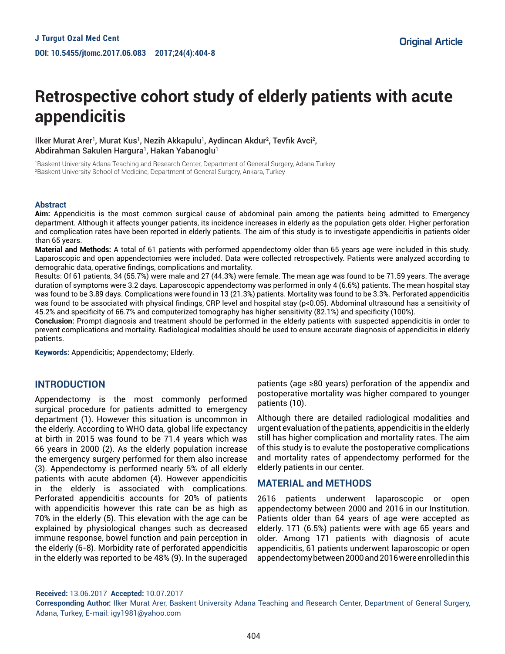# **Retrospective cohort study of elderly patients with acute appendicitis**

llker Murat Arer<sup>ı</sup>, Murat Kus<sup>ı</sup>, Nezih Akkapulu<sup>ı</sup>, Aydincan Akdur<sup>2</sup>, Tevfik Avci<sup>2</sup>, Abdirahman Sakulen Hargura1, Hakan Yabanoglu1

1 Baskent University Adana Teaching and Research Center, Department of General Surgery, Adana Turkey 2 Baskent University School of Medicine, Department of General Surgery, Ankara, Turkey

#### **Abstract**

**Aim:** Appendicitis is the most common surgical cause of abdominal pain among the patients being admitted to Emergency department. Although it affects younger patients, its incidence increases in elderly as the population gets older. Higher perforation and complication rates have been reported in elderly patients. The aim of this study is to investigate appendicitis in patients older than 65 years.

**Material and Methods:** A total of 61 patients with performed appendectomy older than 65 years age were included in this study. Laparoscopic and open appendectomies were included. Data were collected retrospectively. Patients were analyzed according to demograhic data, operative findings, complications and mortality.

Results: Of 61 patients, 34 (55.7%) were male and 27 (44.3%) were female. The mean age was found to be 71.59 years. The average duration of symptoms were 3.2 days. Laparoscopic appendectomy was performed in only 4 (6.6%) patients. The mean hospital stay was found to be 3.89 days. Complications were found in 13 (21.3%) patients. Mortality was found to be 3.3%. Perforated appendicitis was found to be associated with physical findings, CRP level and hospital stay (p<0.05). Abdominal ultrasound has a sensitivity of 45.2% and specificity of 66.7% and computerized tomography has higher sensitivity (82.1%) and specificity (100%).

**Conclusion:** Prompt diagnosis and treatment should be performed in the elderly patients with suspected appendicitis in order to prevent complications and mortality. Radiological modalities should be used to ensure accurate diagnosis of appendicitis in elderly patients.

Keywords: Appendicitis; Appendectomy; Elderly.

### **INTRODUCTION**

Appendectomy is the most commonly performed surgical procedure for patients admitted to emergency department (1). However this situation is uncommon in the elderly. According to WHO data, global life expectancy at birth in 2015 was found to be 71.4 years which was 66 years in 2000 (2). As the elderly population increase the emergency surgery performed for them also increase (3). Appendectomy is performed nearly 5% of all elderly patients with acute abdomen (4). However appendicitis in the elderly is associated with complications. Perforated appendicitis accounts for 20% of patients with appendicitis however this rate can be as high as 70% in the elderly (5). This elevation with the age can be explained by physiological changes such as decreased immune response, bowel function and pain perception in the elderly (6-8). Morbidity rate of perforated appendicitis in the elderly was reported to be 48% (9). In the superaged

patients (age ≥80 years) perforation of the appendix and postoperative mortality was higher compared to younger patients (10).

Although there are detailed radiological modalities and urgent evaluation of the patients, appendicitis in the elderly still has higher complication and mortality rates. The aim of this study is to evalute the postoperative complications and mortality rates of appendectomy performed for the elderly patients in our center.

#### **MATERIAL and METHODS**

2616 patients underwent laparoscopic or open appendectomy between 2000 and 2016 in our Institution. Patients older than 64 years of age were accepted as elderly. 171 (6.5%) patients were with age 65 years and older. Among 171 patients with diagnosis of acute appendicitis, 61 patients underwent laparoscopic or open appendectomy between 2000 and 2016 were enrolled in this

**Received:** 13.06.2017 **Accepted:** 10.07.2017

**Corresponding Author:** Ilker Murat Arer, Baskent University Adana Teaching and Research Center, Department of General Surgery, Adana, Turkey, E-mail: igy1981@yahoo.com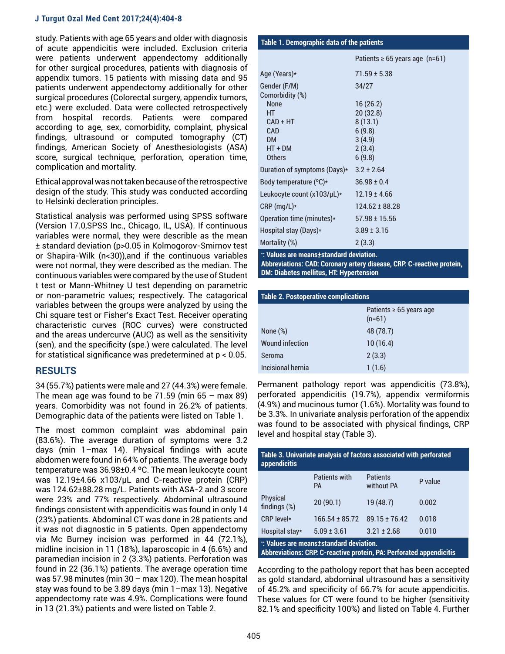study. Patients with age 65 years and older with diagnosis of acute appendicitis were included. Exclusion criteria were patients underwent appendectomy additionally for other surgical procedures, patients with diagnosis of appendix tumors. 15 patients with missing data and 95 patients underwent appendectomy additionally for other surgical procedures (Colorectal surgery, appendix tumors, etc.) were excluded. Data were collected retrospectively from hospital records. Patients were compared according to age, sex, comorbidity, complaint, physical findings, ultrasound or computed tomography (CT) findings, American Society of Anesthesiologists (ASA) score, surgical technique, perforation, operation time, complication and mortality.

Ethical approval was not taken because of the retrospective design of the study. This study was conducted according to Helsinki decleration principles.

Statistical analysis was performed using SPSS software (Version 17.0,SPSS Inc., Chicago, IL, USA). If continuous variables were normal, they were describle as the mean ± standard deviation (p>0.05 in Kolmogorov-Smirnov test or Shapira-Wilk (n<30)),and if the continuous variables were not normal, they were described as the median. The continuous variables were compared by the use of Student t test or Mann-Whitney U test depending on parametric or non-parametric values; respectively. The catagorical variables between the groups were analyzed by using the Chi square test or Fisher's Exact Test. Receiver operating characteristic curves (ROC curves) were constructed and the areas undercurve (AUC) as well as the sensitivity (sen), and the specificity (spe.) were calculated. The level for statistical significance was predetermined at p < 0.05.

## **RESULTS**

34 (55.7%) patients were male and 27 (44.3%) were female. The mean age was found to be  $71.59$  (min  $65 - \text{max } 89$ ) years. Comorbidity was not found in 26.2% of patients. Demographic data of the patients were listed on Table 1.

The most common complaint was abdominal pain (83.6%). The average duration of symptoms were 3.2 days (min 1–max 14). Physical findings with acute abdomen were found in 64% of patients. The average body temperature was 36.98±0.4 ºC. The mean leukocyte count was 12.19±4.66 x103/µL and C-reactive protein (CRP) was 124.62±88.28 mg/L. Patients with ASA-2 and 3 score were 23% and 77% respectively. Abdominal ultrasound findings consistent with appendicitis was found in only 14 (23%) patients. Abdominal CT was done in 28 patients and it was not diagnostic in 5 patients. Open appendectomy via Mc Burney incision was performed in 44 (72.1%), midline incision in 11 (18%), laparoscopic in 4 (6.6%) and paramedian incision in 2 (3.3%) patients. Perforation was found in 22 (36.1%) patients. The average operation time was 57.98 minutes (min 30 – max 120). The mean hospital stay was found to be 3.89 days (min 1–max 13). Negative appendectomy rate was 4.9%. Complications were found in 13 (21.3%) patients and were listed on Table 2.

| Table 1. Demographic data of the patients |                                     |  |  |
|-------------------------------------------|-------------------------------------|--|--|
|                                           | Patients $\geq 65$ years age (n=61) |  |  |
| Age (Years)*                              | $71.59 \pm 5.38$                    |  |  |
| Gender (F/M)<br>Comorbidity (%)           | 34/27                               |  |  |
| None                                      | 16(26.2)                            |  |  |
| HT<br>$CAD + HT$                          | 20 (32.8)<br>8(13.1)                |  |  |
| <b>CAD</b><br><b>DM</b>                   | 6(9.8)<br>3(4.9)                    |  |  |
| $HT + DM$<br><b>Others</b>                | 2(3.4)<br>6(9.8)                    |  |  |
| Duration of symptoms (Days)*              | $3.2 \pm 2.64$                      |  |  |
| Body temperature (°C)*                    | $36.98 \pm 0.4$                     |  |  |
| Leukocyte count (x103/µL)*                | $12.19 \pm 4.66$                    |  |  |
| $CRP$ (mg/L) $*$                          | $124.62 \pm 88.28$                  |  |  |
| Operation time (minutes)*                 | $57.98 \pm 15.56$                   |  |  |
| Hospital stay (Days)*                     | $3.89 \pm 3.15$                     |  |  |
| Mortality (%)                             | 2(3.3)                              |  |  |
| and the first control of the control of   |                                     |  |  |

**\* : Values are means±standard deviation. Abbreviations: CAD: Coronary artery disease, CRP: C-reactive protein, DM: Diabetes mellitus, HT: Hypertension**

| <b>Table 2. Postoperative complications</b> |                                     |  |  |
|---------------------------------------------|-------------------------------------|--|--|
|                                             | Patients ≥ 65 years age<br>$(n=61)$ |  |  |
| None $(\%)$                                 | 48 (78.7)                           |  |  |
| <b>Wound infection</b>                      | 10(16.4)                            |  |  |
| Seroma                                      | 2(3.3)                              |  |  |
| Incisional hernia                           | 1(1.6)                              |  |  |

Permanent pathology report was appendicitis (73.8%), perforated appendicitis (19.7%), appendix vermiformis (4.9%) and mucinous tumor (1.6%). Mortality was found to be 3.3%. In univariate analysis perforation of the appendix was found to be associated with physical findings, CRP level and hospital stay (Table 3).

| Table 3. Univariate analysis of factors associated with perforated<br><b>appendicitis</b>                      |                                   |                               |         |  |
|----------------------------------------------------------------------------------------------------------------|-----------------------------------|-------------------------------|---------|--|
|                                                                                                                | <b>Patients with</b><br><b>PA</b> | <b>Patients</b><br>without PA | P value |  |
| Physical<br>findings $(\%)$                                                                                    | 20(90.1)                          | 19 (48.7)                     | 0.002   |  |
| CRP level*                                                                                                     | $166.54 \pm 85.72$                | $89.15 \pm 76.42$             | 0.018   |  |
| Hospital stay*                                                                                                 | $5.09 \pm 3.61$                   | $3.21 \pm 2.68$               | 0.010   |  |
| *: Values are means±standard deviation.<br>Abbreviations: CRP. C-reactive protein, PA: Perforated appendicitis |                                   |                               |         |  |

According to the pathology report that has been accepted as gold standard, abdominal ultrasound has a sensitivity of 45.2% and specificity of 66.7% for acute appendicitis. These values for CT were found to be higher (sensitivity 82.1% and specificity 100%) and listed on Table 4. Further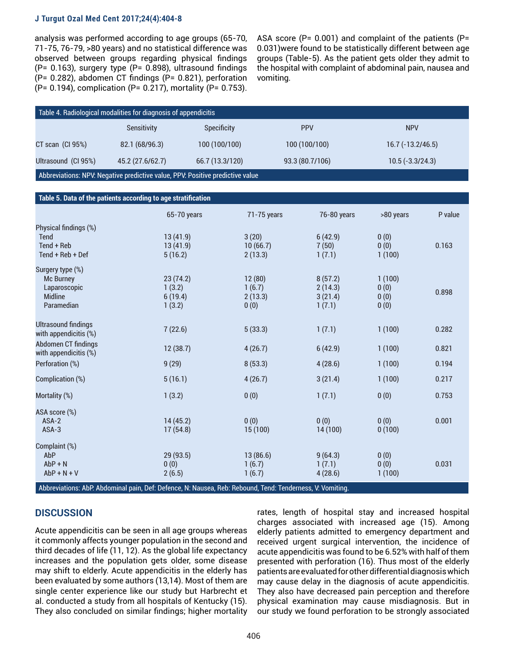analysis was performed according to age groups (65-70, 71-75, 76-79, >80 years) and no statistical difference was observed between groups regarding physical findings (P= 0.163), surgery type (P= 0.898), ultrasound findings (P= 0.282), abdomen CT findings (P= 0.821), perforation (P= 0.194), complication (P= 0.217), mortality (P= 0.753).

ASA score ( $P= 0.001$ ) and complaint of the patients ( $P=$ 0.031)were found to be statistically different between age groups (Table-5). As the patient gets older they admit to the hospital with complaint of abdominal pain, nausea and vomiting.

| Table 4. Radiological modalities for diagnosis of appendicitis                |                    |                    |                 |                    |  |
|-------------------------------------------------------------------------------|--------------------|--------------------|-----------------|--------------------|--|
|                                                                               | <b>Sensitivity</b> | <b>Specificity</b> | <b>PPV</b>      | <b>NPV</b>         |  |
| $CT$ scan $(Cl$ 95%)                                                          | 82.1 (68/96.3)     | 100 (100/100)      | 100 (100/100)   | $16.7(-13.2/46.5)$ |  |
| Ultrasound (CI 95%)                                                           | 45.2 (27.6/62.7)   | 66.7 (13.3/120)    | 93.3 (80.7/106) | $10.5(-3.3/24.3)$  |  |
| Abbreviations: NPV: Negative predictive value, PPV: Positive predictive value |                    |                    |                 |                    |  |

| Table 5. Data of the patients according to age stratification                 |                                         |                                     |                                         |                                |         |
|-------------------------------------------------------------------------------|-----------------------------------------|-------------------------------------|-----------------------------------------|--------------------------------|---------|
|                                                                               | 65-70 years                             | 71-75 years                         | 76-80 years                             | >80 years                      | P value |
| Physical findings (%)<br><b>Tend</b><br>Tend + Reb<br>Tend + Reb + Def        | 13(41.9)<br>13(41.9)<br>5(16.2)         | 3(20)<br>10(66.7)<br>2(13.3)        | 6(42.9)<br>7(50)<br>1(7.1)              | 0(0)<br>0(0)<br>1(100)         | 0.163   |
| Surgery type (%)<br>Mc Burney<br>Laparoscopic<br><b>Midline</b><br>Paramedian | 23(74.2)<br>1(3.2)<br>6(19.4)<br>1(3.2) | 12(80)<br>1(6.7)<br>2(13.3)<br>0(0) | 8(57.2)<br>2(14.3)<br>3(21.4)<br>1(7.1) | 1(100)<br>0(0)<br>0(0)<br>0(0) | 0.898   |
| <b>Ultrasound findings</b><br>with appendicitis (%)                           | 7(22.6)                                 | 5(33.3)                             | 1(7.1)                                  | 1(100)                         | 0.282   |
| Abdomen CT findings<br>with appendicitis (%)                                  | 12(38.7)                                | 4(26.7)                             | 6(42.9)                                 | 1(100)                         | 0.821   |
| Perforation (%)                                                               | 9(29)                                   | 8(53.3)                             | 4(28.6)                                 | 1(100)                         | 0.194   |
| Complication (%)                                                              | 5(16.1)                                 | 4(26.7)                             | 3(21.4)                                 | 1(100)                         | 0.217   |
| Mortality (%)                                                                 | 1(3.2)                                  | 0(0)                                | 1(7.1)                                  | 0(0)                           | 0.753   |
| ASA score (%)<br>$ASA-2$<br>ASA-3                                             | 14(45.2)<br>17(54.8)                    | 0(0)<br>15(100)                     | 0(0)<br>14(100)                         | 0(0)<br>0(100)                 | 0.001   |
| Complaint (%)<br>AbP<br>$AbP + N$<br>$AbP + N + V$                            | 29 (93.5)<br>0(0)<br>2(6.5)             | 13(86.6)<br>1(6.7)<br>1(6.7)        | 9(64.3)<br>1(7.1)<br>4(28.6)            | 0(0)<br>0(0)<br>1(100)         | 0.031   |

Abbreviations: AbP: Abdominal pain, Def: Defence, N: Nausea, Reb: Rebound, Tend: Tenderness, V: Vomiting.

## **DISCUSSION**

Acute appendicitis can be seen in all age groups whereas it commonly affects younger population in the second and third decades of life (11, 12). As the global life expectancy increases and the population gets older, some disease may shift to elderly. Acute appendicitis in the elderly has been evaluated by some authors (13,14). Most of them are single center experience like our study but Harbrecht et al. conducted a study from all hospitals of Kentucky (15). They also concluded on similar findings; higher mortality

rates, length of hospital stay and increased hospital charges associated with increased age (15). Among elderly patients admitted to emergency department and received urgent surgical intervention, the incidence of acute appendicitis was found to be 6.52% with half of them presented with perforation (16). Thus most of the elderly patients are evaluated for other differential diagnosis which may cause delay in the diagnosis of acute appendicitis. They also have decreased pain perception and therefore physical examination may cause misdiagnosis. But in our study we found perforation to be strongly associated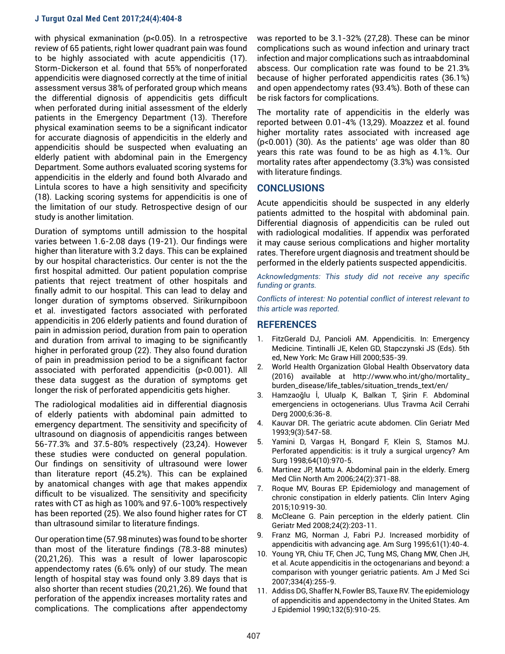with physical exmanination (p<0.05). In a retrospective review of 65 patients, right lower quadrant pain was found to be highly associated with acute appendicitis (17). Storm-Dickerson et al. found that 55% of nonperforated appendicitis were diagnosed correctly at the time of initial assessment versus 38% of perforated group which means the differential dignosis of appendicitis gets difficult when perforated during initial assessment of the elderly patients in the Emergency Department (13). Therefore physical examination seems to be a significant indicator for accurate diagnosis of appendicitis in the elderly and appendicitis should be suspected when evaluating an elderly patient with abdominal pain in the Emergency Department. Some authors evaluated scoring systems for appendicitis in the elderly and found both Alvarado and Lintula scores to have a high sensitivity and specificity (18). Lacking scoring systems for appendicitis is one of the limitation of our study. Retrospective design of our study is another limitation.

Duration of symptoms untill admission to the hospital varies between 1.6-2.08 days (19-21). Our findings were higher than literature with 3.2 days. This can be explained by our hospital characteristics. Our center is not the the first hospital admitted. Our patient population comprise patients that reject treatment of other hospitals and finally admit to our hospital. This can lead to delay and longer duration of symptoms observed. Sirikurnpiboon et al. investigated factors associated with perforated appendicitis in 206 elderly patients and found duration of pain in admission period, duration from pain to operation and duration from arrival to imaging to be significantly higher in perforated group (22). They also found duration of pain in preadmission period to be a significant factor associated with perforated appendicitis (p<0.001). All these data suggest as the duration of symptoms get longer the risk of perforated appendicitis gets higher.

The radiological modalities aid in differential diagnosis of elderly patients with abdominal pain admitted to emergency department. The sensitivity and specificity of ultrasound on diagnosis of appendicitis ranges between 56-77.3% and 37.5-80% respectively (23,24). However these studies were conducted on general population. Our findings on sensitivity of ultrasound were lower than literature report (45.2%). This can be explained by anatomical changes with age that makes appendix difficult to be visualized. The sensitivity and specificity rates with CT as high as 100% and 97.6-100% respectively has been reported (25). We also found higher rates for CT than ultrasound similar to literature findings.

Our operation time (57.98 minutes) was found to be shorter than most of the literature findings (78.3-88 minutes) (20,21,26). This was a result of lower laparoscopic appendectomy rates (6.6% only) of our study. The mean length of hospital stay was found only 3.89 days that is also shorter than recent studies (20,21,26). We found that perforation of the appendix increases mortality rates and complications. The complications after appendectomy

was reported to be 3.1-32% (27,28). These can be minor complications such as wound infection and urinary tract infection and major complications such as intraabdominal abscess. Our complication rate was found to be 21.3% because of higher perforated appendicitis rates (36.1%) and open appendectomy rates (93.4%). Both of these can be risk factors for complications.

The mortality rate of appendicitis in the elderly was reported between 0.01-4% (13,29). Moazzez et al. found higher mortality rates associated with increased age (p<0.001) (30). As the patients' age was older than 80 years this rate was found to be as high as 4.1%. Our mortality rates after appendectomy (3.3%) was consisted with literature findings.

## **CONCLUSIONS**

Acute appendicitis should be suspected in any elderly patients admitted to the hospital with abdominal pain. Differential diagnosis of appendicitis can be ruled out with radiological modalities. If appendix was perforated it may cause serious complications and higher mortality rates. Therefore urgent diagnosis and treatment should be performed in the elderly patients suspected appendicitis.

*Acknowledgments: This study did not receive any specific funding or grants.*

*Conflicts of interest: No potential conflict of interest relevant to this article was reported.*

## **REFERENCES**

- 1. FitzGerald DJ, Pancioli AM. Appendicitis. In: Emergency Medicine. Tintinalli JE, Kelen GD, Stapczynski JS (Eds). 5th ed, New York: Mc Graw Hill 2000;535-39.
- 2. World Health Organization Global Health Observatory data (2016) available at http://www.who.int/gho/mortality\_ burden\_disease/life\_tables/situation\_trends\_text/en/
- 3. Hamzaoğlu İ, Ulualp K, Balkan T, Şirin F. Abdominal emergenciens in octogenerians. Ulus Travma Acil Cerrahi Derg 2000;6:36-8.
- 4. Kauvar DR. The geriatric acute abdomen. Clin Geriatr Med 1993;9(3):547-58.
- 5. Yamini D, Vargas H, Bongard F, Klein S, Stamos MJ. Perforated appendicitis: is it truly a surgical urgency? Am Surg 1998;64(10):970-5.
- 6. Martinez JP, Mattu A. Abdominal pain in the elderly. Emerg Med Clin North Am 2006;24(2):371-88.
- 7. Roque MV, Bouras EP. Epidemiology and management of chronic constipation in elderly patients. Clin Interv Aging 2015;10:919-30.
- 8. McCleane G. Pain perception in the elderly patient. Clin Geriatr Med 2008;24(2):203-11.
- 9. Franz MG, Norman J, Fabri PJ. Increased morbidity of appendicitis with advancing age. Am Surg 1995;61(1):40-4.
- 10. Young YR, Chiu TF, Chen JC, Tung MS, Chang MW, Chen JH, et al. Acute appendicitis in the octogenarians and beyond: a comparison with younger geriatric patients. Am J Med Sci 2007;334(4):255-9.
- 11. Addiss DG, Shaffer N, Fowler BS, Tauxe RV. The epidemiology of appendicitis and appendectomy in the United States. Am J Epidemiol 1990;132(5):910-25.